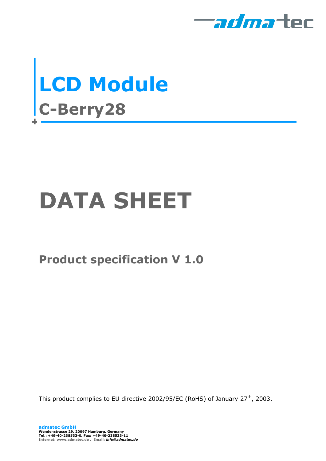



# **DATA SHEET**

### **Product specification V 1.0**

This product complies to EU directive 2002/95/EC (RoHS) of January 27<sup>th</sup>, 2003.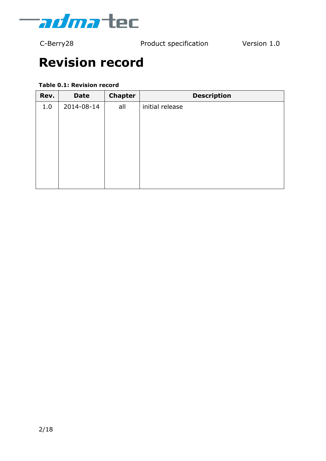

## **Revision record**

#### **Table 0.1: Revision record**

| Rev. | <b>Date</b> | <b>Chapter</b> | <b>Description</b> |
|------|-------------|----------------|--------------------|
| 1.0  | 2014-08-14  | all            | initial release    |
|      |             |                |                    |
|      |             |                |                    |
|      |             |                |                    |
|      |             |                |                    |
|      |             |                |                    |
|      |             |                |                    |
|      |             |                |                    |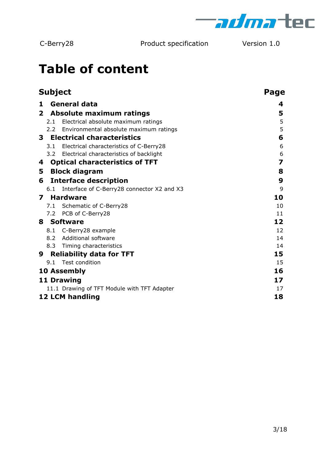

## **Table of content**

|              | <b>Subject</b> |                                             | Page |
|--------------|----------------|---------------------------------------------|------|
| 1            |                | <b>General data</b>                         | 4    |
| $\mathbf{2}$ |                | Absolute maximum ratings                    | 5    |
|              | 2.1            | Electrical absolute maximum ratings         | 5    |
|              |                | 2.2 Environmental absolute maximum ratings  | 5    |
| 3.           |                | <b>Electrical characteristics</b>           | 6    |
|              | 3.1            | Electrical characteristics of C-Berry28     | 6    |
|              |                | 3.2 Electrical characteristics of backlight | 6    |
| 4            |                | <b>Optical characteristics of TFT</b>       | 7    |
| 5            |                | <b>Block diagram</b>                        | 8    |
|              |                |                                             | 9    |
| 6            |                | <b>Interface description</b>                | 9    |
|              | 6.1            | Interface of C-Berry28 connector X2 and X3  |      |
| 7            |                | <b>Hardware</b>                             | 10   |
|              |                | 7.1 Schematic of C-Berry28                  | 10   |
|              |                | 7.2 PCB of C-Berry28                        | 11   |
|              |                | 8 Software                                  | 12   |
|              | 8.1            | C-Berry28 example                           | 12   |
|              |                | 8.2 Additional software                     | 14   |
|              |                | 8.3 Timing characteristics                  | 14   |
| 9            |                | <b>Reliability data for TFT</b>             | 15   |
|              | 9.1            | Test condition                              | 15   |
|              |                | 10 Assembly                                 | 16   |
|              |                | <b>11 Drawing</b>                           | 17   |
|              |                | 11.1 Drawing of TFT Module with TFT Adapter | 17   |
|              |                | <b>12 LCM handling</b>                      | 18   |
|              |                |                                             |      |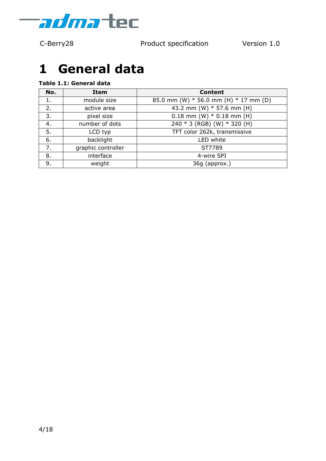

## <span id="page-3-0"></span>**1 General data**

#### **Table 1.1: General data**

| No.             | <b>Item</b>        | <b>Content</b>                            |
|-----------------|--------------------|-------------------------------------------|
| 1.              | module size        | 85.0 mm (W) $*$ 56.0 mm (H) $*$ 17 mm (D) |
| 2.              | active area        | 43.2 mm (W) * 57.6 mm (H)                 |
| 3.              | pixel size         | $0.18$ mm (W) $*$ 0.18 mm (H)             |
| 4.              | number of dots     | 240 * 3 (RGB) (W) * 320 (H)               |
| 5.              | LCD typ            | TFT color 262k, transmissive              |
| backlight<br>6. |                    | LED white                                 |
| 7.              | graphic controller | ST7789                                    |
| 8.              | interface          | 4-wire SPI                                |
| 9.              | weight             | 36g (approx.)                             |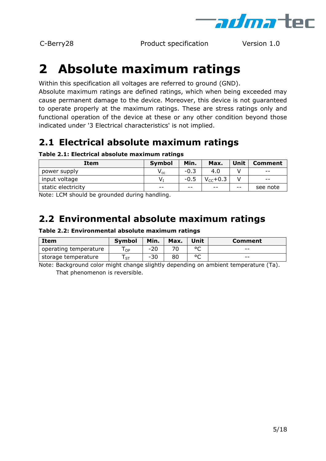

## <span id="page-4-0"></span>**2 Absolute maximum ratings**

Within this specification all voltages are referred to ground (GND).

Absolute maximum ratings are defined ratings, which when being exceeded may cause permanent damage to the device. Moreover, this device is not guaranteed to operate properly at the maximum ratings. These are stress ratings only and functional operation of the device at these or any other condition beyond those indicated under ['3](#page-5-0) Electrical [characteristics'](#page-5-0) is not implied.

### <span id="page-4-1"></span>**2.1 Electrical absolute maximum ratings**

#### **Table 2.1: Electrical absolute maximum ratings**

| Item               | <b>Symbol</b>              | Min.   | Max.          | Unit | <b>Comment</b> |
|--------------------|----------------------------|--------|---------------|------|----------------|
| power supply       | $\mathsf{V}_{\mathsf{cc}}$ | $-0.3$ | 4.0           |      | $- -$          |
| input voltage      | V,                         | $-0.5$ | $V_{cc}$ +0.3 |      | $- -$          |
| static electricity | $- -$                      | $- -$  | $ -$          | $ -$ | see note       |

Note: LCM should be grounded during handling.

### <span id="page-4-2"></span>**2.2 Environmental absolute maximum ratings**

#### **Table 2.2: Environmental absolute maximum ratings**

| Item                  | <b>Symbol</b> | Min.  | Max. | Unit         | Comment |
|-----------------------|---------------|-------|------|--------------|---------|
| operating temperature | OP            | $-20$ |      | $\circ$<br>֊ | $- -$   |
| storage temperature   | ST            | $-30$ | 80   | $\circ$<br>∼ | $- -$   |

Note: Background color might change slightly depending on ambient temperature (Ta). That phenomenon is reversible.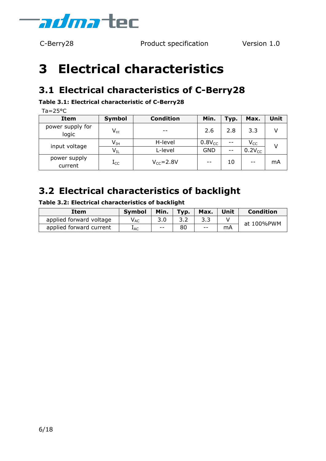

## <span id="page-5-0"></span>**3 Electrical characteristics**

### <span id="page-5-1"></span>**3.1 Electrical characteristics of C-Berry28**

#### **Table 3.1: Electrical characteristic of C-Berry28**

 $Ta = 25^{\circ}C$ 

| <b>Item</b>               | Symbol                     | <b>Condition</b> | Min.        | Typ.  | Max.        | Unit |
|---------------------------|----------------------------|------------------|-------------|-------|-------------|------|
| power supply for<br>logic | $V_{cc}$                   |                  | 2.6         | 2.8   | 3.3         |      |
| input voltage             | $\mathsf{V}_{\mathrm{IH}}$ | H-level          | $0.8V_{CC}$ | $- -$ | $V_{CC}$    |      |
|                           | $\mathsf{V}_{\text{IL}}$   | L-level          | <b>GND</b>  | $ -$  | $0.2V_{CC}$ |      |
| power supply<br>current   | $\rm I_{CC}$               | $V_{CC} = 2.8V$  | --          | 10    | --          | mA   |

#### <span id="page-5-2"></span>**3.2 Electrical characteristics of backlight**

| Item                    | <b>Symbol</b>              | Min.  | Typ. | Max.  | Unit | <b>Condition</b> |
|-------------------------|----------------------------|-------|------|-------|------|------------------|
| applied forward voltage | $\mathsf{V}_{\mathsf{AC}}$ |       |      |       |      | at 100%PWM       |
| applied forward current | $I_{AC}$                   | $- -$ | 80   | $- -$ | mA   |                  |

**Table 3.2: Electrical characteristics of backlight**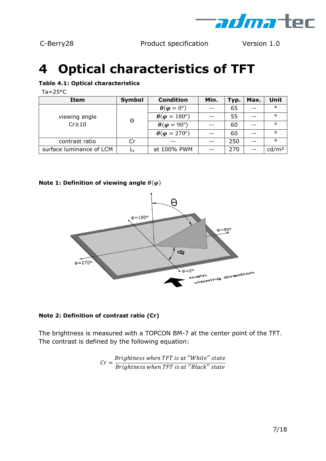

## <span id="page-6-0"></span>**4 Optical characteristics of TFT**

#### **Table 4.1: Optical characteristics**

 $Ta = 25^{\circ}C$ 

| <b>Item</b>                  | Symbol | <b>Condition</b>                | Min. | Typ. | Max. | Unit              |
|------------------------------|--------|---------------------------------|------|------|------|-------------------|
|                              |        | $\theta(\varphi = 0^{\circ})$   |      | 65   |      | $\circ$           |
| viewing angle<br>$Cr \ge 10$ | Θ      | $\theta(\varphi = 180^{\circ})$ |      | 55   |      | $\circ$           |
|                              |        | $\theta(\varphi = 90^{\circ})$  |      | 60   |      | $\circ$           |
|                              |        | $\theta(\varphi = 270^{\circ})$ |      | 60   |      | $\circ$           |
| contrast ratio               | Cr     |                                 |      | 250  | --   | $\circ$           |
| surface luminance of LCM     |        | at 100% PWM                     |      | 270  | $ -$ | cd/m <sup>2</sup> |

#### **Note 1: Definition of viewing angle**  $\theta(\varphi)$



#### **Note 2: Definition of contrast ratio (Cr)**

The brightness is measured with a TOPCON BM-7 at the center point of the TFT. The contrast is defined by the following equation:

$$
Cr = \frac{Brightness when TFT is at "White" state}{Brightness when TFT is at "Black" state}
$$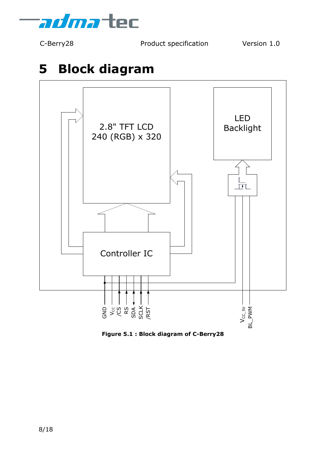

## <span id="page-7-0"></span>**5 Block diagram**



**Figure 5.1 : Block diagram of C-Berry28**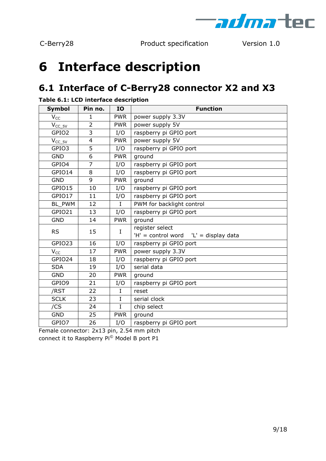

## <span id="page-8-0"></span>**6 Interface description**

### <span id="page-8-1"></span>**6.1 Interface of C-Berry28 connector X2 and X3**

| <b>Symbol</b>     | Pin no.        | IO          | <b>Function</b>                                   |
|-------------------|----------------|-------------|---------------------------------------------------|
| $V_{CC}$          | 1              | <b>PWR</b>  | power supply 3.3V                                 |
| $V_{CC\_5V}$      | $\overline{2}$ | <b>PWR</b>  | power supply 5V                                   |
| GPIO <sub>2</sub> | 3              | I/O         | raspberry pi GPIO port                            |
| $V_{CC_5V}$       | $\overline{4}$ | <b>PWR</b>  | power supply 5V                                   |
| GPIO3             | 5              | I/O         | raspberry pi GPIO port                            |
| <b>GND</b>        | 6              | <b>PWR</b>  | ground                                            |
| GPIO4             | $\overline{7}$ | I/O         | raspberry pi GPIO port                            |
| GPIO14            | 8              | I/O         | raspberry pi GPIO port                            |
| <b>GND</b>        | 9              | <b>PWR</b>  | ground                                            |
| GPIO15            | 10             | I/O         | raspberry pi GPIO port                            |
| GPIO17            | 11             | I/O         | raspberry pi GPIO port                            |
| BL PWM            | 12             | $\mathbf I$ | PWM for backlight control                         |
| GPIO21            | 13             | I/O         | raspberry pi GPIO port                            |
| <b>GND</b>        | 14             | <b>PWR</b>  | ground                                            |
| <b>RS</b>         | 15             | L           | register select                                   |
|                   |                |             | $'H' = control word$ $'L' = display$ display data |
| GPIO23            | 16             | I/O         | raspberry pi GPIO port                            |
| $V_{CC}$          | 17             | <b>PWR</b>  | power supply 3.3V                                 |
| GPIO24            | 18             | I/O         | raspberry pi GPIO port                            |
| <b>SDA</b>        | 19             | I/O         | serial data                                       |
| <b>GND</b>        | 20             | <b>PWR</b>  | ground                                            |
| GPIO9             | 21             | I/O         | raspberry pi GPIO port                            |
| /RST              | 22             | $\mathbf I$ | reset                                             |
| <b>SCLK</b>       | 23             | $\mathbf I$ | serial clock                                      |
| $\overline{/CS}$  | 24             | $\mathbf I$ | chip select                                       |
| <b>GND</b>        | 25             | <b>PWR</b>  | ground                                            |
| GPIO7             | 26             | I/O         | raspberry pi GPIO port                            |

**Table 6.1: LCD interface description**

Female connector: 2x13 pin, 2.54 mm pitch connect it to Raspberry Pi© Model B port P1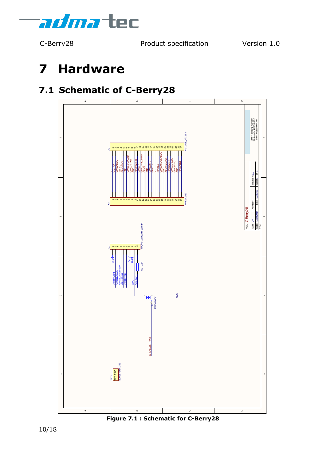

## <span id="page-9-0"></span>**7 Hardware**

### <span id="page-9-1"></span>**7.1 Schematic of C-Berry28**



**Figure 7.1 : Schematic for C-Berry28**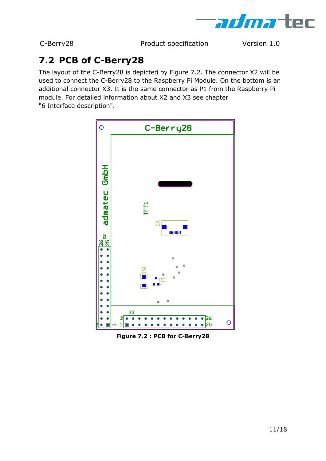

### <span id="page-10-0"></span>**7.2 PCB of C-Berry28**

The layout of the C-Berry28 is depicted by [Figure 7.2.](#page-10-1) The connector X2 will be used to connect the C-Berry28 to the Raspberry Pi Module. On the bottom is an additional connector X3. It is the same connector as P1 from the Raspberry Pi module. For detailed information about X2 and X3 see chapter ["6](#page-8-0) [Interface description"](#page-8-0).



<span id="page-10-1"></span>**Figure 7.2 : PCB for C-Berry28**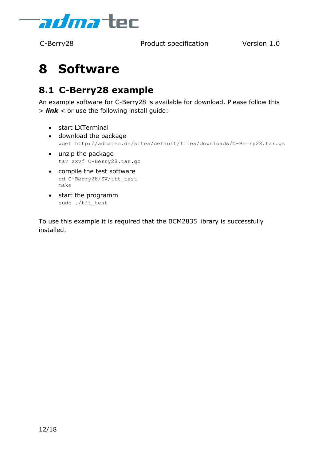

## <span id="page-11-0"></span>**8 Software**

#### <span id="page-11-1"></span>**8.1 C-Berry28 example**

An example software for C-Berry28 is available for download. Please follow this > *[link](http://admatec.de/sites/default/files/downloads/C-Berry28.tar.gz)* < or use the following install guide:

- start LXTerminal
- download the package wget<http://admatec.de/sites/default/files/downloads/C-Berry28.tar.gz>
- unzip the package tar zxvf C-Berry28.tar.gz
- compile the test software cd C-Berry28/SW/tft test make
- start the programm sudo ./tft\_test

To use this example it is required that the BCM2835 library is successfully installed.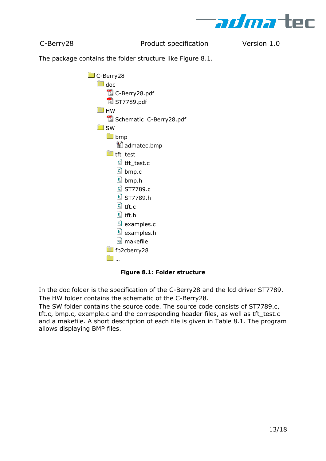

The package contains the folder structure like [Figure 8.1.](#page-12-0)

| C-Berry28                  |
|----------------------------|
| $\Box$ doc                 |
| C-Berry28.pdf              |
| ST7789.pdf                 |
| $\blacksquare$ HW          |
| Schematic_C-Berry28.pdf    |
| $\Box$ SW                  |
| <b>b</b> mp                |
| dadmatec.bmp               |
| $\blacksquare$ tft_test    |
| c tft_test.c               |
| c bmp.c                    |
| b] bmp.h                   |
| C ST7789.c                 |
| h ST7789.h                 |
| $\frac{c}{c}$ tft.c        |
| h tft.h                    |
| c examples.c               |
| h examples.h               |
| makefile                   |
| $\blacksquare$ fb2cberry28 |
|                            |

**Figure 8.1: Folder structure**

<span id="page-12-0"></span>In the doc folder is the specification of the C-Berry28 and the lcd driver ST7789. The HW folder contains the schematic of the C-Berry28.

The SW folder contains the source code. The source code consists of ST7789.c, tft.c, bmp.c, example.c and the corresponding header files, as well as tft\_test.c and a makefile. A short description of each file is given in [Table 8.1.](#page-13-2) The program allows displaying BMP files.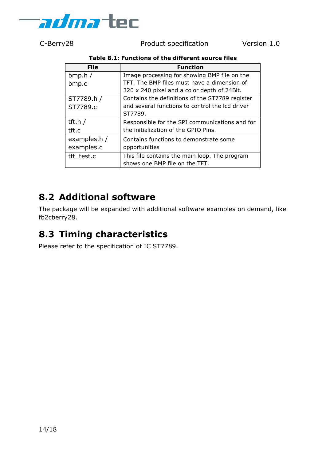

<span id="page-13-2"></span>

| Table 8.1: Functions of the different source files |  |  |  |
|----------------------------------------------------|--|--|--|
|----------------------------------------------------|--|--|--|

| <b>File</b>  | <b>Function</b>                                 |
|--------------|-------------------------------------------------|
| bmp.h/       | Image processing for showing BMP file on the    |
| bmp.c        | TFT. The BMP files must have a dimension of     |
|              | 320 x 240 pixel and a color depth of 24Bit.     |
| ST7789.h /   | Contains the definitions of the ST7789 register |
| ST7789.c     | and several functions to control the Icd driver |
|              | ST7789.                                         |
| tft.h $/$    | Responsible for the SPI communications and for  |
| tft.c        | the initialization of the GPIO Pins.            |
| examples.h / | Contains functions to demonstrate some          |
| examples.c   | opportunities                                   |
| tft test.c   | This file contains the main loop. The program   |
|              | shows one BMP file on the TFT.                  |

#### <span id="page-13-0"></span>**8.2 Additional software**

The package will be expanded with additional software examples on demand, like fb2cberry28.

#### <span id="page-13-1"></span>**8.3 Timing characteristics**

Please refer to the specification of IC ST7789.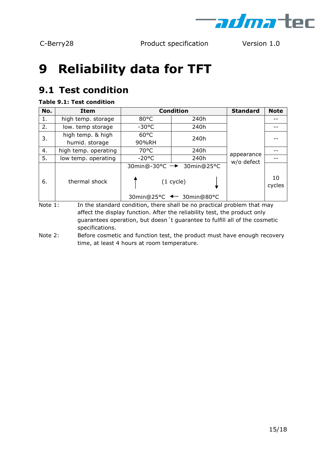

## <span id="page-14-0"></span>**9 Reliability data for TFT**

### <span id="page-14-1"></span>**9.1 Test condition**

#### **Table 9.1: Test condition**

| No. | <b>Item</b>          | <b>Condition</b>            |             | <b>Standard</b>          | <b>Note</b>  |
|-----|----------------------|-----------------------------|-------------|--------------------------|--------------|
| 1.  | high temp. storage   | $80^{\circ}$ C              | 240h        | appearance<br>w/o defect |              |
| 2.  | low. temp storage    | $-30^{\circ}$ C             | 240h        |                          |              |
| 3.  | high temp. & high    | $60^{\circ}$ C              | 240h        |                          |              |
|     | humid. storage       | 90%RH                       |             |                          |              |
| 4.  | high temp. operating | $70^{\circ}$ C              | 240h        |                          |              |
| 5.  | low temp. operating  | $-20^{\circ}$ C             | 240h        |                          |              |
| 6.  | thermal shock        | 30min@25°C<br>30min@-30°C → |             |                          |              |
|     |                      |                             | $(1$ cycle) |                          | 10<br>cycles |
|     |                      | 30min@25°C < 30min@80°C     |             |                          |              |

Note 1: In the standard condition, there shall be no practical problem that may affect the display function. After the reliability test, the product only guarantees operation, but doesn´t guarantee to fulfill all of the cosmetic specifications.

Note 2: Before cosmetic and function test, the product must have enough recovery time, at least 4 hours at room temperature.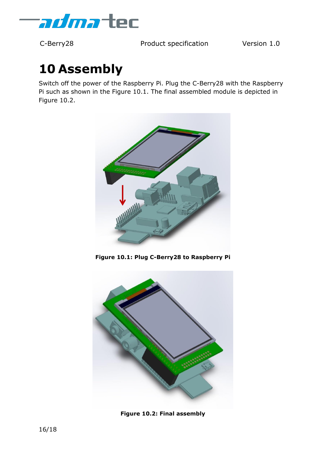

## <span id="page-15-0"></span>**10 Assembly**

Switch off the power of the Raspberry Pi. Plug the C-Berry28 with the Raspberry Pi such as shown in the [Figure 10.1.](#page-15-1) The final assembled module is depicted in [Figure 10.2.](#page-15-2)



**Figure 10.1: Plug C-Berry28 to Raspberry Pi**

<span id="page-15-2"></span><span id="page-15-1"></span>

**Figure 10.2: Final assembly**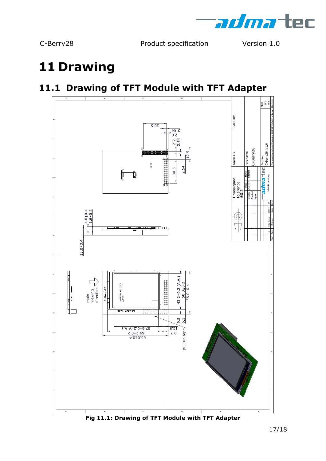

## <span id="page-16-0"></span>**11 Drawing**

### <span id="page-16-1"></span>**11.1 Drawing of TFT Module with TFT Adapter**



**Fig 11.1: Drawing of TFT Module with TFT Adapter**